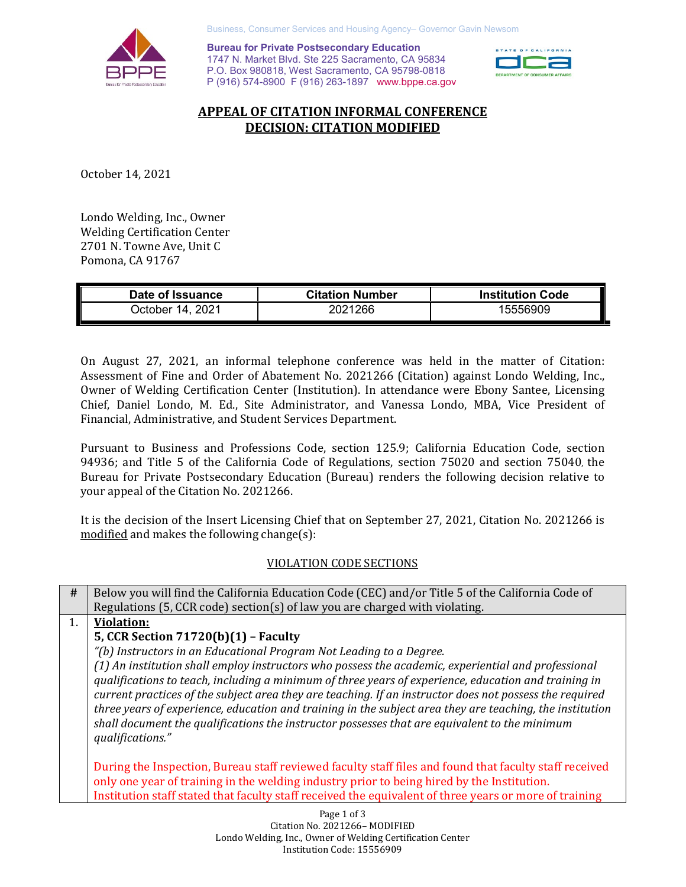

Business, Consumer Services and Housing Agency– Governor Gavin Newsom

**Bureau for Private Postsecondary Education** 1747 N. Market Blvd. Ste 225 Sacramento, CA 95834 P.O. Box 980818, West Sacramento, CA 95798-0818 P (916) 574-8900 F (916) 263-1897 www.bppe.ca.gov



## **APPEAL OF CITATION INFORMAL CONFERENCE DECISION: CITATION MODIFIED**

October 14, 2021

Londo Welding, Inc., Owner Welding Certification Center 2701 N. Towne Ave, Unit C Pomona, CA 91767

| Date of Issuance      | <b>Citation Number</b> | <b>Institution Code</b> |
|-----------------------|------------------------|-------------------------|
| 2021<br>⊃ctober 14. ′ | 2021266                | 15556909                |

On August 27, 2021, an informal telephone conference was held in the matter of Citation: Assessment of Fine and Order of Abatement No. 2021266 (Citation) against Londo Welding, Inc., Owner of Welding Certification Center (Institution). In attendance were Ebony Santee, Licensing Chief, Daniel Londo, M. Ed., Site Administrator, and Vanessa Londo, MBA, Vice President of Financial, Administrative, and Student Services Department.

Pursuant to Business and Professions Code, section 125.9; California Education Code, section 94936; and Title 5 of the California Code of Regulations, section 75020 and section 75040, the Bureau for Private Postsecondary Education (Bureau) renders the following decision relative to your appeal of the Citation No. 2021266.

It is the decision of the Insert Licensing Chief that on September 27, 2021, Citation No. 2021266 is modified and makes the following change(s):

## VIOLATION CODE SECTIONS

**#** Below you will find the California Education Code (CEC) and/or Title 5 of the California Code of Regulations (5, CCR code) section(s) of law you are charged with violating. 1. **Violation: 5, CCR Section 71720(b)(1) – Faculty** *"(b) Instructors in an Educational Program Not Leading to a Degree. (1) An institution shall employ instructors who possess the academic, experiential and professional qualifications to teach, including a minimum of three years of experience, education and training in current practices of the subject area they are teaching. If an instructor does not possess the required three years of experience, education and training in the subject area they are teaching, the institution shall document the qualifications the instructor possesses that are equivalent to the minimum qualifications."* During the Inspection, Bureau staff reviewed faculty staff files and found that faculty staff received only one year of training in the welding industry prior to being hired by the Institution. Institution staff stated that faculty staff received the equivalent of three years or more of training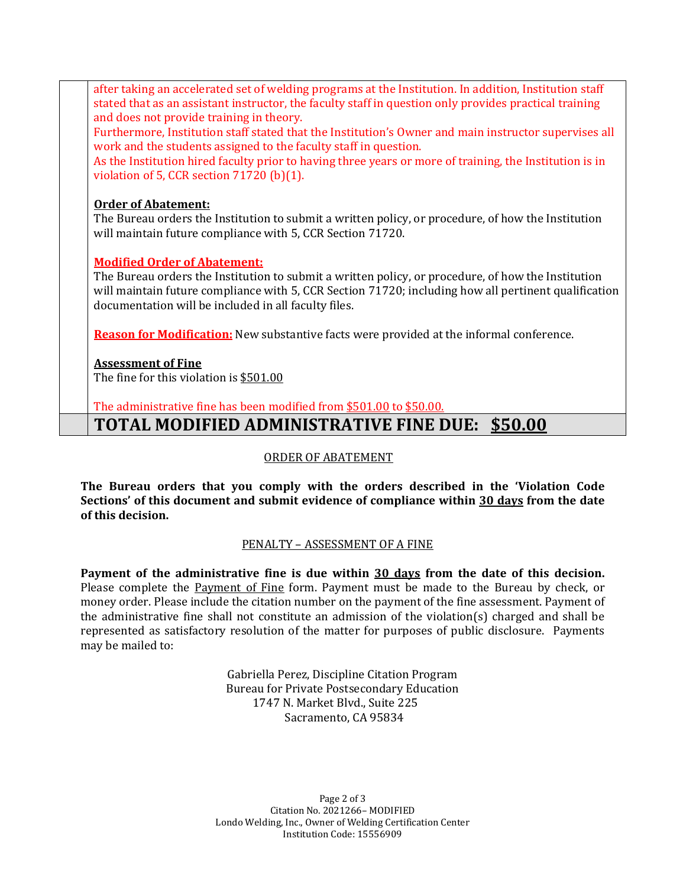after taking an accelerated set of welding programs at the Institution. In addition, Institution staff stated that as an assistant instructor, the faculty staff in question only provides practical training and does not provide training in theory.

Furthermore, Institution staff stated that the Institution's Owner and main instructor supervises all work and the students assigned to the faculty staff in question.

As the Institution hired faculty prior to having three years or more of training, the Institution is in violation of 5, CCR section 71720 (b)(1).

### **Order of Abatement:**

The Bureau orders the Institution to submit a written policy, or procedure, of how the Institution will maintain future compliance with 5, CCR Section 71720.

## **Modified Order of Abatement:**

The Bureau orders the Institution to submit a written policy, or procedure, of how the Institution will maintain future compliance with 5, CCR Section 71720; including how all pertinent qualification documentation will be included in all faculty files.

**Reason for Modification:** New substantive facts were provided at the informal conference.

## **Assessment of Fine**

The fine for this violation is \$501.00

The administrative fine has been modified from \$501.00 to \$50.00.

# **TOTAL MODIFIED ADMINISTRATIVE FINE DUE: \$50.00**

#### ORDER OF ABATEMENT

**The Bureau orders that you comply with the orders described in the 'Violation Code Sections' of this document and submit evidence of compliance within 30 days from the date of this decision.**

## PENALTY – ASSESSMENT OF A FINE

**Payment of the administrative fine is due within 30 days from the date of this decision.** Please complete the Payment of Fine form. Payment must be made to the Bureau by check, or money order. Please include the citation number on the payment of the fine assessment. Payment of the administrative fine shall not constitute an admission of the violation(s) charged and shall be represented as satisfactory resolution of the matter for purposes of public disclosure. Payments may be mailed to:

> Gabriella Perez, Discipline Citation Program Bureau for Private Postsecondary Education 1747 N. Market Blvd., Suite 225 Sacramento, CA 95834

Page 2 of 3 Citation No. 2021266– MODIFIED Londo Welding, Inc., Owner of Welding Certification Center Institution Code: 15556909